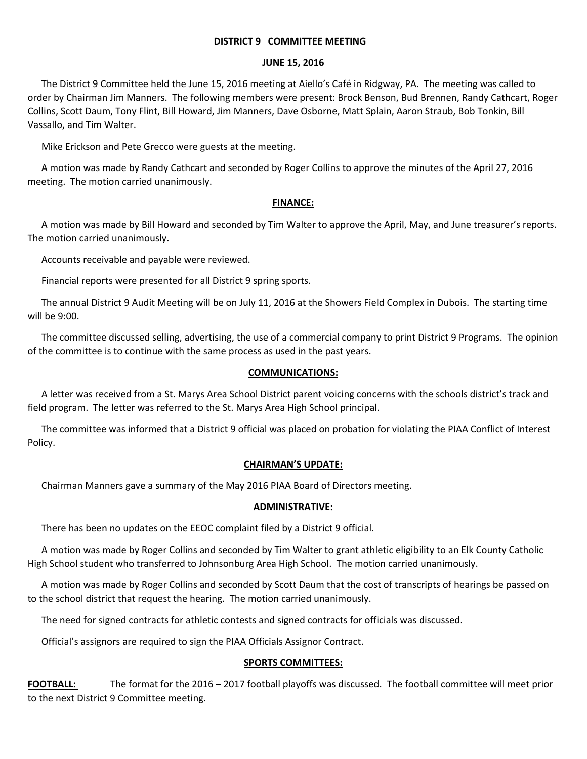#### **DISTRICT 9 COMMITTEE MEETING**

#### **JUNE 15, 2016**

The District 9 Committee held the June 15, 2016 meeting at Aiello's Café in Ridgway, PA. The meeting was called to order by Chairman Jim Manners. The following members were present: Brock Benson, Bud Brennen, Randy Cathcart, Roger Collins, Scott Daum, Tony Flint, Bill Howard, Jim Manners, Dave Osborne, Matt Splain, Aaron Straub, Bob Tonkin, Bill Vassallo, and Tim Walter.

Mike Erickson and Pete Grecco were guests at the meeting.

A motion was made by Randy Cathcart and seconded by Roger Collins to approve the minutes of the April 27, 2016 meeting. The motion carried unanimously.

### **FINANCE:**

A motion was made by Bill Howard and seconded by Tim Walter to approve the April, May, and June treasurer's reports. The motion carried unanimously.

Accounts receivable and payable were reviewed.

Financial reports were presented for all District 9 spring sports.

The annual District 9 Audit Meeting will be on July 11, 2016 at the Showers Field Complex in Dubois. The starting time will be 9:00.

The committee discussed selling, advertising, the use of a commercial company to print District 9 Programs. The opinion of the committee is to continue with the same process as used in the past years.

## **COMMUNICATIONS:**

A letter was received from a St. Marys Area School District parent voicing concerns with the schools district's track and field program. The letter was referred to the St. Marys Area High School principal.

The committee was informed that a District 9 official was placed on probation for violating the PIAA Conflict of Interest Policy.

### **CHAIRMAN'S UPDATE:**

Chairman Manners gave a summary of the May 2016 PIAA Board of Directors meeting.

### **ADMINISTRATIVE:**

There has been no updates on the EEOC complaint filed by a District 9 official.

A motion was made by Roger Collins and seconded by Tim Walter to grant athletic eligibility to an Elk County Catholic High School student who transferred to Johnsonburg Area High School. The motion carried unanimously.

A motion was made by Roger Collins and seconded by Scott Daum that the cost of transcripts of hearings be passed on to the school district that request the hearing. The motion carried unanimously.

The need for signed contracts for athletic contests and signed contracts for officials was discussed.

Official's assignors are required to sign the PIAA Officials Assignor Contract.

### **SPORTS COMMITTEES:**

**FOOTBALL:** The format for the 2016 – 2017 football playoffs was discussed. The football committee will meet prior to the next District 9 Committee meeting.